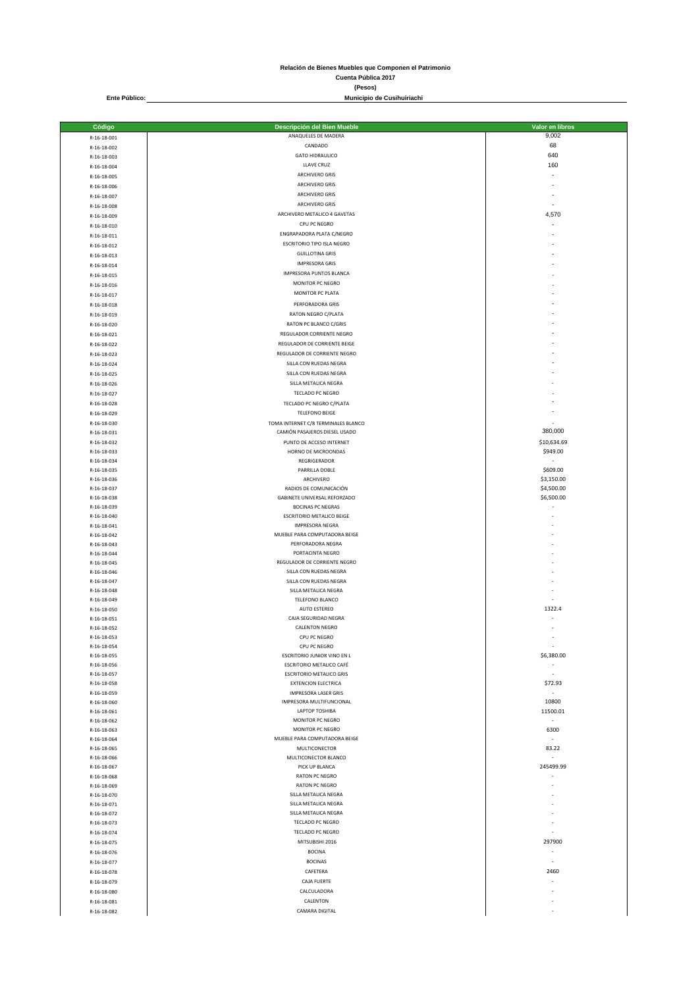**Relación de Bienes Muebles que Componen el Patrimonio Cuenta Pública 2017**

**(Pesos)**

**Municipio de Cusihuiriachi**

**Ente Público:**

| Código                     | Descripción del Bien Mueble<br>ANAQUELES DE MADERA  | Valor en libros<br>9,002             |
|----------------------------|-----------------------------------------------------|--------------------------------------|
| R-16-18-001                | CANDADO                                             | 68                                   |
| R-16-18-002                | <b>GATO HIDRAULICO</b>                              | 640                                  |
| R-16-18-003                | LLAVE CRUZ                                          | 160                                  |
| R-16-18-004<br>R-16-18-005 | ARCHIVERO GRIS                                      | ÷,                                   |
| R-16-18-006                | <b>ARCHIVERO GRIS</b>                               |                                      |
| R-16-18-007                | <b>ARCHIVERO GRIS</b>                               |                                      |
| R-16-18-008                | <b>ARCHIVERO GRIS</b>                               |                                      |
| R-16-18-009                | ARCHIVERO METALICO 4 GAVETAS                        | 4,570                                |
| R-16-18-010                | CPU PC NEGRO                                        | ÷,                                   |
| R-16-18-011                | ENGRAPADORA PLATA C/NEGRO                           |                                      |
| R-16-18-012                | ESCRITORIO TIPO ISLA NEGRO                          |                                      |
| R-16-18-013                | <b>GUILLOTINA GRIS</b>                              |                                      |
| R-16-18-014                | <b>IMPRESORA GRIS</b>                               |                                      |
| R-16-18-015                | IMPRESORA PUNTOS BLANCA                             |                                      |
| R-16-18-016                | MONITOR PC NEGRO                                    |                                      |
| R-16-18-017                | MONITOR PC PLATA                                    |                                      |
| R-16-18-018                | PERFORADORA GRIS                                    |                                      |
| R-16-18-019                | RATON NEGRO C/PLATA                                 |                                      |
| R-16-18-020                | RATON PC BLANCO C/GRIS                              |                                      |
| R-16-18-021                | REGULADOR CORRIENTE NEGRO                           |                                      |
| R-16-18-022                | REGULADOR DE CORRIENTE BEIGE                        |                                      |
| R-16-18-023                | REGULADOR DE CORRIENTE NEGRO                        |                                      |
| R-16-18-024                | SILLA CON RUEDAS NEGRA                              |                                      |
| R-16-18-025                | SILLA CON RUEDAS NEGRA<br>SILLA METALICA NEGRA      |                                      |
| R-16-18-026                |                                                     |                                      |
| R-16-18-027                | TECLADO PC NEGRO                                    |                                      |
| R-16-18-028                | TECLADO PC NEGRO C/PLATA<br><b>TELEFONO BEIGE</b>   |                                      |
| R-16-18-029<br>R-16-18-030 | TOMA INTERNET C/8 TERMINALES BLANCO                 |                                      |
| R-16-18-031                | CAMIÓN PASAJEROS DIESEL USADO                       | 380,000                              |
| R-16-18-032                | PUNTO DE ACCESO INTERNET                            | \$10,634.69                          |
| R-16-18-033                | HORNO DE MICROONDAS                                 | \$949.00                             |
| R-16-18-034                | REGRIGERADOR                                        | $\sim$                               |
| R-16-18-035                | PARRILLA DOBLE                                      | \$609.00                             |
| R-16-18-036                | ARCHIVERO                                           | \$3,150.00                           |
| R-16-18-037                | RADIOS DE COMUNICACIÓN                              | \$4,500.00                           |
| R-16-18-038                | GABINETE UNIVERSAL REFORZADO                        | \$6,500.00                           |
| R-16-18-039                | <b>BOCINAS PC NEGRAS</b>                            |                                      |
| R-16-18-040                | ESCRITORIO METALICO BEIGE<br><b>IMPRESORA NEGRA</b> |                                      |
| R-16-18-041<br>R-16-18-042 | MUEBLE PARA COMPUTADORA BEIGE                       |                                      |
| R-16-18-043                | PERFORADORA NEGRA                                   |                                      |
| R-16-18-044                | PORTACINTA NEGRO                                    |                                      |
| R-16-18-045                | REGULADOR DE CORRIENTE NEGRO                        |                                      |
| R-16-18-046                | SILLA CON RUEDAS NEGRA                              |                                      |
| R-16-18-047                | SILLA CON RUEDAS NEGRA                              |                                      |
| R-16-18-048                | SILLA METALICA NEGRA                                |                                      |
| R-16-18-049                | TELEFONO BLANCO                                     |                                      |
| R-16-18-050                | AUTO ESTEREO<br>CAJA SEGURIDAD NEGRA                | 1322.4                               |
| R-16-18-051<br>R-16-18-052 | <b>CALENTON NEGRO</b>                               |                                      |
| R-16-18-053                | CPU PC NEGRO                                        |                                      |
| R-16-18-054                | CPU PC NEGRO                                        | $\sim$                               |
| R-16-18-055                | ESCRITORIO JUNIOR VINO EN L                         | \$6,380.00                           |
| R-16-18-056                | ESCRITORIO METALICO CAFÉ                            | $\sim$                               |
| R-16-18-057                | <b>ESCRITORIO METALICO GRIS</b>                     | ÷,                                   |
| R-16-18-058                | <b>EXTENCION ELECTRICA</b>                          | \$72.93                              |
| R-16-18-059                | <b>IMPRESORA LASER GRIS</b>                         | $\sim$                               |
| R-16-18-060                | IMPRESORA MULTIFUNCIONAL                            | 10800                                |
| R-16-18-061                | LAPTOP TOSHIBA<br>MONITOR PC NEGRO                  | 11500.01<br>$\overline{\phantom{a}}$ |
| R-16-18-062<br>R-16-18-063 | MONITOR PC NEGRO                                    | 6300                                 |
| R-16-18-064                | MUEBLE PARA COMPUTADORA BEIGE                       | $\sim$                               |
| R-16-18-065                | MULTICONECTOR                                       | 83.22                                |
| R-16-18-066                | MULTICONECTOR BLANCO                                | $\sim$                               |
| R-16-18-067                | PICK UP BLANCA                                      | 245499.99                            |
| R-16-18-068                | RATON PC NEGRO                                      | ÷,                                   |
| R-16-18-069                | <b>RATON PC NEGRO</b>                               |                                      |
| R-16-18-070                | SILLA METALICA NEGRA                                |                                      |
| R-16-18-071                | SILLA METALICA NEGRA                                |                                      |
| R-16-18-072                | SILLA METALICA NEGRA<br>TECLADO PC NEGRO            |                                      |
| R-16-18-073<br>R-16-18-074 | TECLADO PC NEGRO                                    | ٠                                    |
| R-16-18-075                | MITSUBISHI 2016                                     | 297900                               |
| R-16-18-076                | <b>BOCINA</b>                                       | $\overline{\phantom{a}}$             |
| R-16-18-077                | <b>BOCINAS</b>                                      | ÷,                                   |
| R-16-18-078                | CAFETERA                                            | 2460                                 |
| R-16-18-079                | CAJA FUERTE                                         | ÷,                                   |
| R-16-18-080                | CALCULADORA                                         |                                      |
| R-16-18-081                | CALENTON                                            |                                      |
| R-16-18-082                | CAMARA DIGITAL                                      | ż.                                   |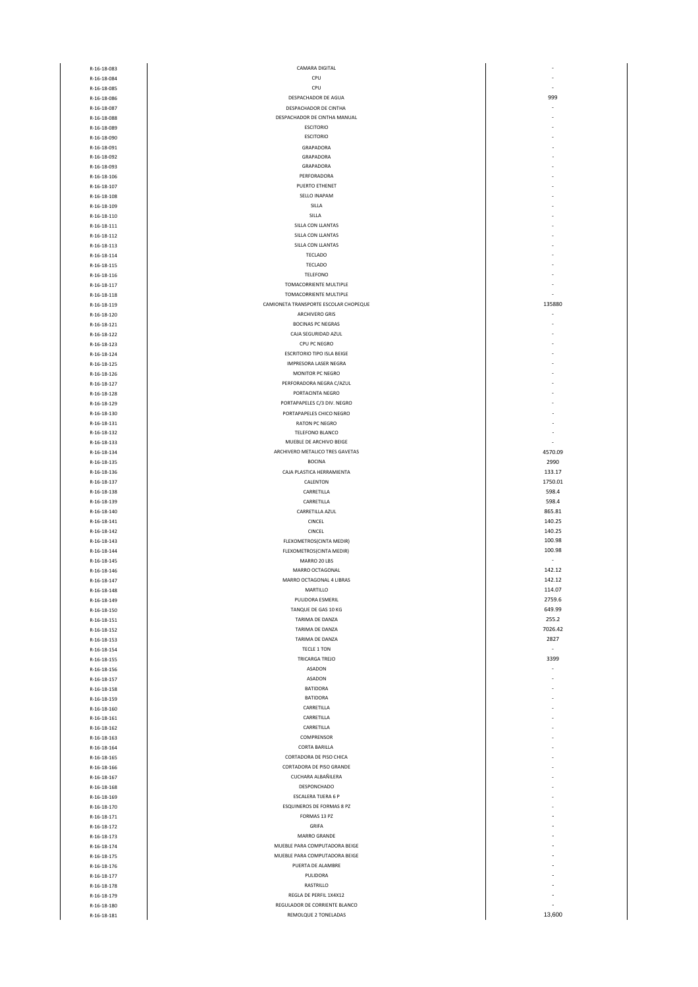| R-16-18-083 | CAMARA DIGITAL                        |         |
|-------------|---------------------------------------|---------|
| R-16-18-084 | CPU                                   |         |
| R-16-18-085 | CPU                                   |         |
| R-16-18-086 | DESPACHADOR DE AGUA                   | 999     |
|             |                                       |         |
| R-16-18-087 | DESPACHADOR DE CINTHA                 |         |
| R-16-18-088 | DESPACHADOR DE CINTHA MANUAL          |         |
| R-16-18-089 | <b>ESCITORIO</b>                      |         |
| R-16-18-090 | <b>ESCITORIO</b>                      |         |
|             |                                       |         |
| R-16-18-091 | GRAPADORA                             |         |
| R-16-18-092 | GRAPADORA                             |         |
| R-16-18-093 | GRAPADORA                             |         |
|             |                                       |         |
| R-16-18-106 | PERFORADORA                           |         |
| R-16-18-107 | PUERTO ETHENET                        |         |
| R-16-18-108 | SELLO INAPAM                          |         |
| R-16-18-109 | SILLA                                 |         |
|             |                                       |         |
| R-16-18-110 | SILLA                                 |         |
| R-16-18-111 | SILLA CON LLANTAS                     |         |
| R-16-18-112 | SILLA CON LLANTAS                     |         |
|             |                                       |         |
| R-16-18-113 | SILLA CON LLANTAS                     |         |
| R-16-18-114 | <b>TECLADO</b>                        |         |
| R-16-18-115 | <b>TECLADO</b>                        |         |
|             |                                       |         |
| R-16-18-116 | TELEFONO                              |         |
| R-16-18-117 | TOMACORRIENTE MULTIPLE                |         |
| R-16-18-118 | TOMACORRIENTE MULTIPLE                |         |
|             | CAMIONETA TRANSPORTE ESCOLAR CHOPEQUE | 135880  |
| R-16-18-119 |                                       |         |
| R-16-18-120 | <b>ARCHIVERO GRIS</b>                 |         |
| R-16-18-121 | <b>BOCINAS PC NEGRAS</b>              |         |
| R-16-18-122 | CAJA SEGURIDAD AZUL                   |         |
|             |                                       |         |
| R-16-18-123 | CPU PC NEGRO                          |         |
| R-16-18-124 | <b>ESCRITORIO TIPO ISLA BEIGE</b>     |         |
| R-16-18-125 | <b>IMPRESORA LASER NEGRA</b>          |         |
|             |                                       |         |
| R-16-18-126 | MONITOR PC NEGRO                      |         |
| R-16-18-127 | PERFORADORA NEGRA C/AZUL              |         |
| R-16-18-128 | PORTACINTA NEGRO                      |         |
|             | PORTAPAPELES C/3 DIV. NEGRO           |         |
| R-16-18-129 |                                       |         |
| R-16-18-130 | PORTAPAPELES CHICO NEGRO              |         |
| R-16-18-131 | <b>RATON PC NEGRO</b>                 |         |
| R-16-18-132 | TELEFONO BLANCO                       |         |
|             |                                       |         |
| R-16-18-133 | MUEBLE DE ARCHIVO BEIGE               |         |
| R-16-18-134 | ARCHIVERO METALICO TRES GAVETAS       | 4570.09 |
| R-16-18-135 | <b>BOCINA</b>                         | 2990    |
|             |                                       |         |
| R-16-18-136 | CAJA PLASTICA HERRAMIENTA             | 133.17  |
| R-16-18-137 | CALENTON                              | 1750.01 |
| R-16-18-138 | CARRETILLA                            | 598.4   |
|             |                                       |         |
| R-16-18-139 | CARRETILLA                            | 598.4   |
| R-16-18-140 | CARRETILLA AZUL                       | 865.81  |
| R-16-18-141 | CINCEL                                | 140.25  |
| R-16-18-142 | CINCEL                                | 140.25  |
|             |                                       |         |
| R-16-18-143 | FLEXOMETROS(CINTA MEDIR)              | 100.98  |
| R-16-18-144 | FLEXOMETROS(CINTA MEDIR)              | 100.98  |
| R-16-18-145 | MARRO 20 LBS                          |         |
|             |                                       |         |
| R-16-18-146 | MARRO OCTAGONAL                       | 142.12  |
| R-16-18-147 | MARRO OCTAGONAL 4 LIBRAS              | 142.12  |
| R-16-18-148 | MARTILLO                              | 114.07  |
|             |                                       |         |
| R-16-18-149 | PULIDORA ESMERIL                      | 2759.6  |
| R-16-18-150 | TANQUE DE GAS 10 KG                   | 649.99  |
| R-16-18-151 | TARIMA DE DANZA                       | 255.2   |
| R-16-18-152 | TARIMA DE DANZA                       | 7026.42 |
|             |                                       |         |
| R-16-18-153 | TARIMA DE DANZA                       | 2827    |
| R-16-18-154 | TECLE 1 TON                           | ÷.      |
| R-16-18-155 | TRICARGA TREJO                        | 3399    |
| R-16-18-156 | ASADON                                |         |
|             |                                       |         |
| R-16-18-157 | ASADON                                |         |
| R-16-18-158 | <b>BATIDORA</b>                       |         |
| R-16-18-159 | <b>BATIDORA</b>                       |         |
|             |                                       |         |
| R-16-18-160 | CARRETILLA                            |         |
| R-16-18-161 | CARRETILLA                            |         |
| R-16-18-162 | CARRETILLA                            |         |
|             |                                       |         |
| R-16-18-163 | COMPRENSOR                            |         |
| R-16-18-164 | CORTA BARILLA                         |         |
| R-16-18-165 | CORTADORA DE PISO CHICA               |         |
| R-16-18-166 | CORTADORA DE PISO GRANDE              |         |
|             |                                       |         |
| R-16-18-167 | CUCHARA ALBAÑILERA                    |         |
| R-16-18-168 | DESPONCHADO                           |         |
| R-16-18-169 | ESCALERA TIJERA 6 P                   |         |
|             |                                       |         |
| R-16-18-170 | ESQUINEROS DE FORMAS 8 PZ             |         |
| R-16-18-171 | FORMAS 13 PZ                          |         |
| R-16-18-172 | GRIFA                                 |         |
|             | MARRO GRANDE                          |         |
| R-16-18-173 |                                       |         |
| R-16-18-174 | MUEBLE PARA COMPUTADORA BEIGE         |         |
| R-16-18-175 | MUEBLE PARA COMPUTADORA BEIGE         |         |
| R-16-18-176 | PUERTA DE ALAMBRE                     |         |
|             |                                       |         |
| R-16-18-177 | PULIDORA                              |         |
| R-16-18-178 | RASTRILLO                             |         |
| R-16-18-179 | REGLA DE PERFIL 1X4X12                |         |
|             |                                       |         |
| R-16-18-180 | REGULADOR DE CORRIENTE BLANCO         |         |
| R-16-18-181 | REMOLQUE 2 TONELADAS                  | 13,600  |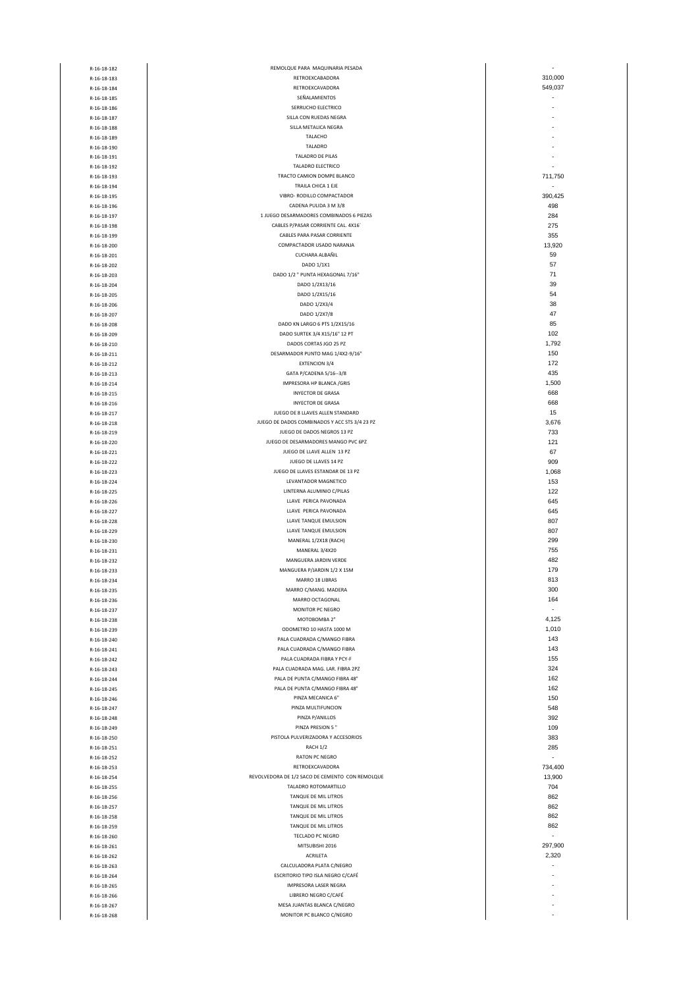| R-16-18-182 | REMOLQUE PARA MAQUINARIA PESADA                 | ٠       |
|-------------|-------------------------------------------------|---------|
|             |                                                 | 310.000 |
| R-16-18-183 | RETROEXCABADORA                                 |         |
| R-16-18-184 | RETROEXCAVADORA                                 | 549,037 |
| R-16-18-185 | SEÑALAMIENTOS                                   |         |
| R-16-18-186 | SERRUCHO ELECTRICO                              |         |
|             |                                                 |         |
| R-16-18-187 | SILLA CON RUEDAS NEGRA                          |         |
| R-16-18-188 | SILLA METALICA NEGRA                            |         |
| R-16-18-189 | TALACHO                                         |         |
| R-16-18-190 | TALADRO                                         |         |
| R-16-18-191 | TALADRO DE PILAS                                |         |
|             | TALADRO ELECTRICO                               |         |
| R-16-18-192 |                                                 |         |
| R-16-18-193 | TRACTO CAMION DOMPE BLANCO                      | 711,750 |
| R-16-18-194 | TRAILA CHICA 1 EJE                              |         |
| R-16-18-195 | VIBRO- RODILLO COMPACTADOR                      | 390,425 |
| R-16-18-196 | CADENA PULIDA 3 M 3/8                           | 498     |
| R-16-18-197 | 1 JUEGO DESARMADORES COMBINADOS 6 PIEZAS        | 284     |
|             |                                                 |         |
| R-16-18-198 | CABLES P/PASAR CORRIENTE CAL. 4X16'             | 275     |
| R-16-18-199 | CABLES PARA PASAR CORRIENTE                     | 355     |
| R-16-18-200 | COMPACTADOR USADO NARANJA                       | 13,920  |
| R-16-18-201 | CUCHARA ALBAÑIL                                 | 59      |
| R-16-18-202 | DADO 1/1X1                                      | 57      |
|             |                                                 | 71      |
| R-16-18-203 | DADO 1/2 " PUNTA HEXAGONAL 7/16"                |         |
| R-16-18-204 | DADO 1/2X13/16                                  | 39      |
| R-16-18-205 | DADO 1/2X15/16                                  | 54      |
| R-16-18-206 | DADO 1/2X3/4                                    | 38      |
| R-16-18-207 | DADO 1/2X7/8                                    | 47      |
| R-16-18-208 | DADO KN LARGO 6 PTS 1/2X15/16                   | 85      |
|             |                                                 |         |
| R-16-18-209 | DADO SURTEK 3/4 X15/16" 12 PT                   | 102     |
| R-16-18-210 | DADOS CORTAS JGO 25 PZ                          | 1,792   |
| R-16-18-211 | DESARMADOR PUNTO MAG 1/4X2-9/16"                | 150     |
| R-16-18-212 | <b>EXTENCION 3/4</b>                            | 172     |
| R-16-18-213 | GATA P/CADENA 5/16--3/8                         | 435     |
|             |                                                 |         |
| R-16-18-214 | IMPRESORA HP BLANCA / GRIS                      | 1,500   |
| R-16-18-215 | <b>INYECTOR DE GRASA</b>                        | 668     |
| R-16-18-216 | <b>INYECTOR DE GRASA</b>                        | 668     |
| R-16-18-217 | JUEGO DE 8 LLAVES ALLEN STANDARD                | 15      |
| R-16-18-218 | JUEGO DE DADOS COMBINADOS Y ACC STS 3/4 23 PZ   | 3,676   |
| R-16-18-219 | JUEGO DE DADOS NEGROS 13 PZ                     | 733     |
|             |                                                 |         |
| R-16-18-220 | JUEGO DE DESARMADORES MANGO PVC 6PZ             | 121     |
| R-16-18-221 | JUEGO DE LLAVE ALLEN 13 PZ                      | 67      |
| R-16-18-222 | JUEGO DE LLAVES 14 PZ                           | 909     |
| R-16-18-223 | JUEGO DE LLAVES ESTANDAR DE 13 PZ               | 1,068   |
| R-16-18-224 | LEVANTADOR MAGNETICO                            | 153     |
| R-16-18-225 | LINTERNA ALUMINIO C/PILAS                       | 122     |
|             |                                                 |         |
| R-16-18-226 | LLAVE PERICA PAVONADA                           | 645     |
| R-16-18-227 | LLAVE PERICA PAVONADA                           | 645     |
| R-16-18-228 | LLAVE TANQUE EMULSION                           | 807     |
| R-16-18-229 | LLAVE TANQUE EMULSION                           | 807     |
| R-16-18-230 | MANERAL 1/2X18 (RACH)                           | 299     |
|             | MANERAL 3/4X20                                  | 755     |
| R-16-18-231 |                                                 |         |
| R-16-18-232 | MANGUERA JARDIN VERDE                           | 482     |
| R-16-18-233 | MANGUERA P/JARDIN 1/2 X 15M                     | 179     |
| R-16-18-234 | MARRO 18 LIBRAS                                 | 813     |
| R-16-18-235 | MARRO C/MANG. MADERA                            | 300     |
| R-16-18-236 | MARRO OCTAGONAL                                 | 164     |
|             | MONITOR PC NEGRO                                | ÷.      |
| R-16-18-237 |                                                 |         |
| R-16-18-238 | MOTOBOMBA 2"                                    | 4,125   |
| R-16-18-239 | ODOMETRO 10 HASTA 1000 M                        | 1,010   |
| R-16-18-240 | PALA CUADRADA C/MANGO FIBRA                     | 143     |
| R-16-18-241 | PALA CUADRADA C/MANGO FIBRA                     | 143     |
| R-16-18-242 | PALA CUADRADA FIBRA Y PCY-F                     | 155     |
| R-16-18-243 | PALA CUADRADA MAG. LAR. FIBRA 2PZ               | 324     |
|             |                                                 |         |
| R-16-18-244 | PALA DE PUNTA C/MANGO FIBRA 48"                 | 162     |
| R-16-18-245 | PALA DE PUNTA C/MANGO FIBRA 48"                 | 162     |
| R-16-18-246 | PINZA MECANICA 6"                               | 150     |
| R-16-18-247 | PINZA MULTIFUNCION                              | 548     |
| R-16-18-248 | PINZA P/ANILLOS                                 | 392     |
|             | PINZA PRESION 5"                                | 109     |
| R-16-18-249 |                                                 |         |
| R-16-18-250 | PISTOLA PULVERIZADORA Y ACCESORIOS              | 383     |
| R-16-18-251 | RACH 1/2                                        | 285     |
| R-16-18-252 | <b>RATON PC NEGRO</b>                           | ÷.      |
| R-16-18-253 | RETROEXCAVADORA                                 | 734,400 |
| R-16-18-254 | REVOLVEDORA DE 1/2 SACO DE CEMENTO CON REMOLQUE | 13,900  |
| R-16-18-255 | TALADRO ROTOMARTILLO                            | 704     |
|             |                                                 |         |
| R-16-18-256 | TANQUE DE MIL LITROS                            | 862     |
| R-16-18-257 | TANQUE DE MIL LITROS                            | 862     |
| R-16-18-258 | TANQUE DE MIL LITROS                            | 862     |
| R-16-18-259 | TANQUE DE MIL LITROS                            | 862     |
| R-16-18-260 | TECLADO PC NEGRO                                | ٠       |
|             | MITSUBISHI 2016                                 | 297,900 |
| R-16-18-261 |                                                 |         |
| R-16-18-262 | ACRILETA                                        | 2,320   |
| R-16-18-263 | CALCULADORA PLATA C/NEGRO                       | ٠       |
| R-16-18-264 | ESCRITORIO TIPO ISLA NEGRO C/CAFÉ               |         |
| R-16-18-265 | IMPRESORA LASER NEGRA                           |         |
| R-16-18-266 | LIBRERO NEGRO C/CAFÉ                            |         |
|             | MESA JUANTAS BLANCA C/NEGRO                     |         |
| R-16-18-267 |                                                 |         |
| R-16-18-268 | MONITOR PC BLANCO C/NEGRO                       | ٠       |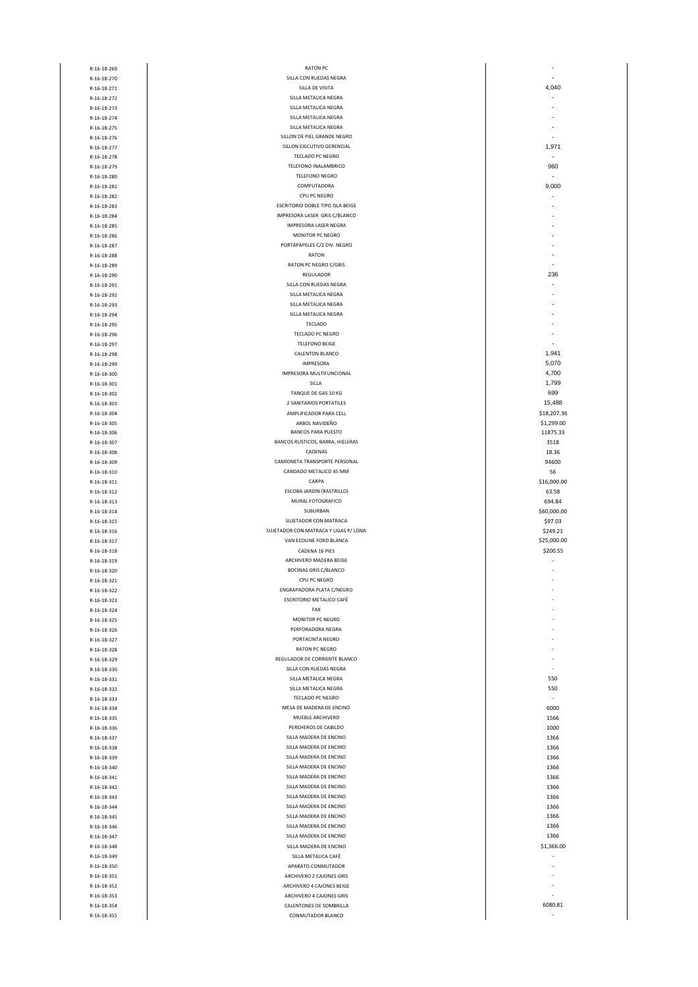| R-16-18-269 | <b>RATON PC</b>                       | $\overline{\phantom{a}}$ |
|-------------|---------------------------------------|--------------------------|
|             |                                       | ÷.                       |
| R-16-18-270 | SILLA CON RUEDAS NEGRA                |                          |
| R-16-18-271 | SILLA DE VISITA                       | 4,040                    |
| R-16-18-272 | SILLA METALICA NEGRA                  | Ĭ.                       |
| R-16-18-273 | SILLA METALICA NEGRA                  | $\overline{\phantom{a}}$ |
|             |                                       |                          |
| R-16-18-274 | SILLA METALICA NEGRA                  |                          |
| R-16-18-275 | SILLA METALICA NEGRA                  |                          |
| R-16-18-276 | SILLON DE PIEL GRANDE NEGRO           | $\overline{\phantom{a}}$ |
|             |                                       |                          |
| R-16-18-277 | SILLON EJECUTIVO GERENCIAL            | 1,971                    |
| R-16-18-278 | TECLADO PC NEGRO                      | ٠                        |
|             | TELEFONO INALAMBRICO                  | 960                      |
| R-16-18-279 |                                       |                          |
| R-16-18-280 | <b>TELEFONO NEGRO</b>                 | ÷.                       |
| R-16-18-281 | COMPUTADORA                           | 9,000                    |
|             |                                       |                          |
| R-16-18-282 | CPU PC NEGRO                          | ÷,                       |
| R-16-18-283 | ESCRITORIO DOBLE TIPO ISLA BEIGE      | ٠                        |
|             | IMPRESORA LASER GRIS C/BLANCO         |                          |
| R-16-18-284 |                                       |                          |
| R-16-18-285 | <b>IMPRESORA LASER NEGRA</b>          |                          |
| R-16-18-286 | MONITOR PC NEGRO                      |                          |
|             | PORTAPAPELES C/2 DIV. NEGRO           |                          |
| R-16-18-287 |                                       |                          |
| R-16-18-288 | RATON                                 | ٠                        |
| R-16-18-289 | RATON PC NEGRO C/GRIS                 |                          |
|             |                                       |                          |
| R-16-18-290 | REGULADOR                             | 236                      |
| R-16-18-291 | SILLA CON RUEDAS NEGRA                | $\overline{\phantom{a}}$ |
| R-16-18-292 | SILLA METALICA NEGRA                  |                          |
|             |                                       |                          |
| R-16-18-293 | SILLA METALICA NEGRA                  |                          |
| R-16-18-294 | SILLA METALICA NEGRA                  |                          |
| R-16-18-295 | <b>TECLADO</b>                        |                          |
|             |                                       |                          |
| R-16-18-296 | TECLADO PC NEGRO                      |                          |
| R-16-18-297 | <b>TELEFONO BEIGE</b>                 |                          |
|             |                                       |                          |
| R-16-18-298 | CALENTON BLANCO                       | 1,941                    |
| R-16-18-299 | <b>IMPRESORA</b>                      | 5,070                    |
| R-16-18-300 | IMPRESORA MULTIFUNCIONAL              | 4,700                    |
|             |                                       |                          |
| R-16-18-301 | SILLA                                 | 1,799                    |
| R-16-18-302 | TANQUE DE GAS 10 KG                   | 699                      |
| R-16-18-303 | 2 SANITARIOS PORTATILES               | 15,488                   |
|             |                                       |                          |
| R-16-18-304 | AMPLIFICADOR PARA CELL                | \$18,207.36              |
| R-16-18-305 | ARBOL NAVIDEÑO                        | \$1,299.00               |
|             | <b>BANCOS PARA PUESTO</b>             | 11875.33                 |
| R-16-18-306 |                                       |                          |
| R-16-18-307 | BANCOS RUSTICOS, BARRA, HIELERAS      | 3518                     |
| R-16-18-308 | CADENAS                               | 18.36                    |
|             | CAMIONETA TRANSPORTE PERSONAL         |                          |
| R-16-18-309 |                                       | 94600                    |
| R-16-18-310 | CANDADO METALICO 45 MM                | 56                       |
| R-16-18-311 | CARPA                                 | \$16,000.00              |
|             |                                       |                          |
| R-16-18-312 | ESCOBA JARDIN (RASTRILLO)             | 63.58                    |
| R-16-18-313 | MURAL FOTOGRAFICO                     | 694.84                   |
| R-16-18-314 | SUBURBAN                              | \$60,000.00              |
|             |                                       |                          |
| R-16-18-315 | SUJETADOR CON MATRACA                 | \$97.03                  |
| R-16-18-316 | SUJETADOR CON MATRACA Y LIGAS P/ LONA | \$249.21                 |
| R-16-18-317 | VAN ECOLINE FORD BLANCA               | \$25,000.00              |
|             |                                       |                          |
| R-16-18-318 | CADENA 16 PIES                        |                          |
|             |                                       | \$200.55                 |
|             | ARCHIVERO MADERA BEIGE                |                          |
| R-16-18-319 |                                       |                          |
| R-16-18-320 | <b>BOCINAS GRIS C/BLANCO</b>          |                          |
| R-16-18-321 | CPU PC NEGRO                          |                          |
| R-16-18-322 | <b>ENGRAPADORA PLATA C/NEGRO</b>      |                          |
|             |                                       |                          |
| R-16-18-323 | ESCRITORIO METALICO CAFÉ              |                          |
| R-16-18-324 | FAX                                   |                          |
|             | MONITOR PC NEGRO                      |                          |
| R-16-18-325 |                                       |                          |
| R-16-18-326 | PERFORADORA NEGRA                     |                          |
| R-16-18-327 | PORTACINTA NEGRO                      |                          |
|             |                                       |                          |
| R-16-18-328 | RATON PC NEGRO                        |                          |
| R-16-18-329 | REGULADOR DE CORRIENTE BLANCO         |                          |
| R-16-18-330 | SILLA CON RUEDAS NEGRA                |                          |
|             | SILLA METALICA NEGRA                  | 550                      |
| R-16-18-331 |                                       |                          |
| R-16-18-332 | SILLA METALICA NEGRA                  | 550                      |
| R-16-18-333 | TECLADO PC NEGRO                      | ä,                       |
|             |                                       |                          |
| R-16-18-334 | MESA DE MADERA DE ENCINO              | 6000                     |
| R-16-18-335 | MUEBLE ARCHIVERO                      | 1566                     |
| R-16-18-336 | PERCHEROS DE CABILDO                  | 1000                     |
|             |                                       |                          |
| R-16-18-337 | SILLA MADERA DE ENCINO                | 1366                     |
| R-16-18-338 | SILLA MADERA DE ENCINO                | 1366                     |
| R-16-18-339 | SILLA MADERA DE ENCINO                | 1366                     |
|             |                                       |                          |
| R-16-18-340 | SILLA MADERA DE ENCINO                | 1366                     |
| R-16-18-341 | SILLA MADERA DE ENCINO                | 1366                     |
| R-16-18-342 | SILLA MADERA DE ENCINO                | 1366                     |
|             |                                       |                          |
| R-16-18-343 | SILLA MADERA DE ENCINO                | 1366                     |
| R-16-18-344 | SILLA MADERA DE ENCINO                | 1366                     |
|             |                                       |                          |
| R-16-18-345 | SILLA MADERA DE ENCINO                | 1366                     |
| R-16-18-346 | SILLA MADERA DE ENCINO                | 1366                     |
| R-16-18-347 | SILLA MADERA DE ENCINO                | 1366                     |
|             |                                       |                          |
| R-16-18-348 | SILLA MADERA DE ENCINO                | \$1,366.00               |
| R-16-18-349 | SILLA METALICA CAFÉ                   | ٠                        |
|             |                                       |                          |
| R-16-18-350 | APARATO CONMUTADOR                    |                          |
| R-16-18-351 | ARCHIVERO 2 CAJONES GRIS              |                          |
| R-16-18-352 | ARCHIVERO 4 CAJONES BEIGE             |                          |
|             |                                       |                          |
| R-16-18-353 | ARCHIVERO 4 CAJONES GRIS              | ÷.                       |
| R-16-18-354 | CALENTONES DE SOMBRILLA               | 6080.81                  |
| R-16-18-355 | CONMUTADOR BLANCO                     |                          |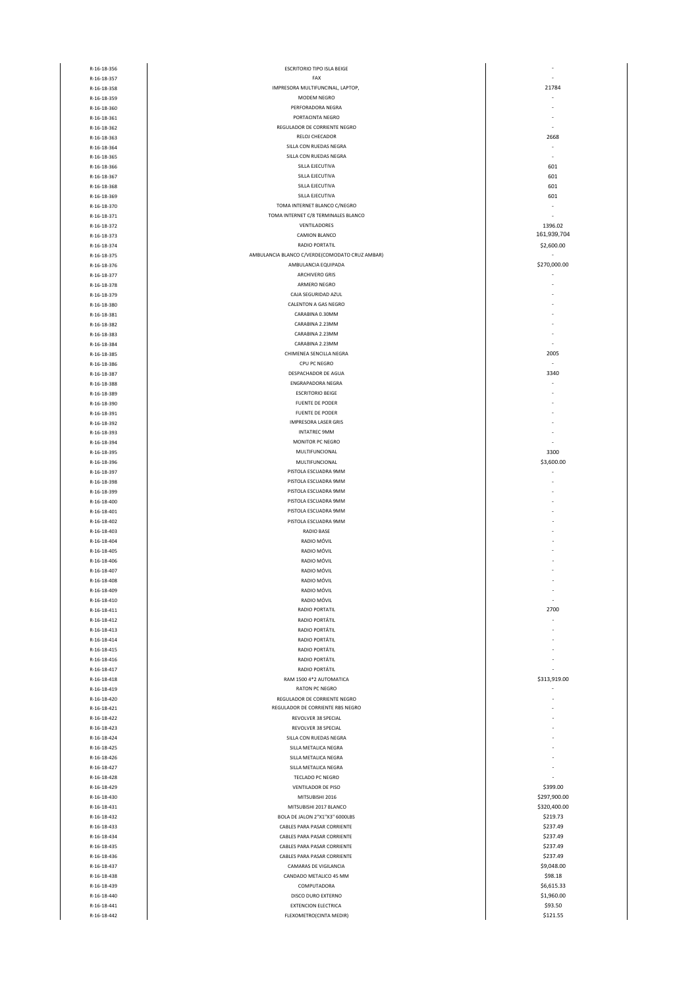| R-16-18-356                | <b>ESCRITORIO TIPO ISLA BEIGE</b>                   |                              |
|----------------------------|-----------------------------------------------------|------------------------------|
| R-16-18-357                | FAX                                                 |                              |
| R-16-18-358                | IMPRESORA MULTIFUNCINAL, LAPTOP,                    | 21784                        |
| R-16-18-359                | MODEM NEGRO<br>PERFORADORA NEGRA                    |                              |
| R-16-18-360                | PORTACINTA NEGRO                                    |                              |
| R-16-18-361<br>R-16-18-362 | REGULADOR DE CORRIENTE NEGRO                        |                              |
| R-16-18-363                | RELOJ CHECADOR                                      | 2668                         |
| R-16-18-364                | SILLA CON RUEDAS NEGRA                              |                              |
| R-16-18-365                | SILLA CON RUEDAS NEGRA                              |                              |
| R-16-18-366                | SILLA EJECUTIVA                                     | 601                          |
| R-16-18-367                | SILLA EJECUTIVA                                     | 601                          |
| R-16-18-368                | SILLA EJECUTIVA                                     | 601                          |
| R-16-18-369                | SILLA EJECUTIVA                                     | 601                          |
| R-16-18-370                | TOMA INTERNET BLANCO C/NEGRO                        |                              |
| R-16-18-371                | TOMA INTERNET C/8 TERMINALES BLANCO                 |                              |
| R-16-18-372                | VENTILADORES                                        | 1396.02<br>161,939,704       |
| R-16-18-373                | CAMION BLANCO<br>RADIO PORTATIL                     |                              |
| R-16-18-374<br>R-16-18-375 | AMBULANCIA BLANCO C/VERDE(COMODATO CRUZ AMBAR)      | \$2,600.00                   |
| R-16-18-376                | AMBULANCIA EQUIPADA                                 | \$270,000.00                 |
| R-16-18-377                | <b>ARCHIVERO GRIS</b>                               |                              |
| R-16-18-378                | ARMERO NEGRO                                        |                              |
| R-16-18-379                | CAJA SEGURIDAD AZUL                                 |                              |
| R-16-18-380                | CALENTON A GAS NEGRO                                |                              |
| R-16-18-381                | CARABINA 0.30MM                                     |                              |
| R-16-18-382                | CARABINA 2.23MM                                     |                              |
| R-16-18-383                | CARABINA 2.23MM                                     |                              |
| R-16-18-384                | CARABINA 2.23MM                                     |                              |
| R-16-18-385                | CHIMENEA SENCILLA NEGRA                             | 2005                         |
| R-16-18-386                | CPU PC NEGRO                                        | ÷,                           |
| R-16-18-387                | DESPACHADOR DE AGUA                                 | 3340                         |
| R-16-18-388                | <b>ENGRAPADORA NEGRA</b><br><b>ESCRITORIO BEIGE</b> |                              |
| R-16-18-389<br>R-16-18-390 | FUENTE DE PODER                                     |                              |
| R-16-18-391                | <b>FUENTE DE PODER</b>                              |                              |
| R-16-18-392                | <b>IMPRESORA LASER GRIS</b>                         |                              |
| R-16-18-393                | <b>INTATREC 9MM</b>                                 |                              |
| R-16-18-394                | MONITOR PC NEGRO                                    |                              |
| R-16-18-395                | MULTIFUNCIONAL                                      | 3300                         |
| R-16-18-396                | MULTIFUNCIONAL                                      | \$3,600.00                   |
| R-16-18-397                | PISTOLA ESCUADRA 9MM                                | ÷                            |
| R-16-18-398                | PISTOLA ESCUADRA 9MM                                |                              |
| R-16-18-399                | PISTOLA ESCUADRA 9MM                                |                              |
| R-16-18-400                | PISTOLA ESCUADRA 9MM                                |                              |
| R-16-18-401                | PISTOLA ESCUADRA 9MM                                |                              |
| R-16-18-402                | PISTOLA ESCUADRA 9MM                                |                              |
| R-16-18-403                | RADIO BASE<br>RADIO MÓVIL                           |                              |
| R-16-18-404<br>R-16-18-405 | RADIO MÓVIL                                         |                              |
| R-16-18-406                | RADIO MÓVIL                                         |                              |
| R-16-18-407                | RADIO MÓVIL                                         |                              |
| R-16-18-408                | RADIO MÓVIL                                         |                              |
| R-16-18-409                | RADIO MÓVIL                                         |                              |
| R-16-18-410                | RADIO MÓVIL                                         |                              |
| R-16-18-411                | <b>RADIO PORTATIL</b>                               | 2700                         |
| R-16-18-412                | RADIO PORTÁTIL                                      |                              |
| R-16-18-413                | RADIO PORTÁTIL                                      |                              |
| R-16-18-414                | RADIO PORTÁTIL                                      |                              |
| R-16-18-415                | RADIO PORTÁTIL                                      |                              |
| R-16-18-416<br>R-16-18-417 | RADIO PORTÁTIL<br>RADIO PORTÁTIL                    |                              |
| R-16-18-418                | RAM 1500 4*2 AUTOMATICA                             | \$313,919.00                 |
| R-16-18-419                | <b>RATON PC NEGRO</b>                               |                              |
| R-16-18-420                | REGULADOR DE CORRIENTE NEGRO                        |                              |
| R-16-18-421                | REGULADOR DE CORRIENTE RBS NEGRO                    |                              |
| R-16-18-422                | REVOLVER 38 SPECIAL                                 |                              |
| R-16-18-423                | REVOLVER 38 SPECIAL                                 |                              |
| R-16-18-424                | SILLA CON RUEDAS NEGRA                              |                              |
| R-16-18-425                | SILLA METALICA NEGRA                                |                              |
| R-16-18-426                | SILLA METALICA NEGRA                                |                              |
| R-16-18-427                | SILLA METALICA NEGRA                                |                              |
| R-16-18-428                | TECLADO PC NEGRO                                    |                              |
| R-16-18-429                | VENTILADOR DE PISO                                  | \$399.00                     |
| R-16-18-430<br>R-16-18-431 | MITSUBISHI 2016<br>MITSUBISHI 2017 BLANCO           | \$297,900.00<br>\$320,400.00 |
| R-16-18-432                | BOLA DE JALON 2"X1"X3" 6000LBS                      | \$219.73                     |
| R-16-18-433                | CABLES PARA PASAR CORRIENTE                         | \$237.49                     |
| R-16-18-434                | CABLES PARA PASAR CORRIENTE                         | \$237.49                     |
| R-16-18-435                | CABLES PARA PASAR CORRIENTE                         | \$237.49                     |
| R-16-18-436                | CABLES PARA PASAR CORRIENTE                         | \$237.49                     |
| R-16-18-437                | CAMARAS DE VIGILANCIA                               | \$9,048.00                   |
| R-16-18-438                | CANDADO METALICO 45 MM                              | \$98.18                      |
| R-16-18-439                | COMPUTADORA                                         | \$6,615.33                   |
| R-16-18-440                | DISCO DURO EXTERNO                                  | \$1,960.00                   |
| R-16-18-441                | <b>EXTENCION ELECTRICA</b>                          | \$93.50                      |
| R-16-18-442                | FLEXOMETRO(CINTA MEDIR)                             | \$121.55                     |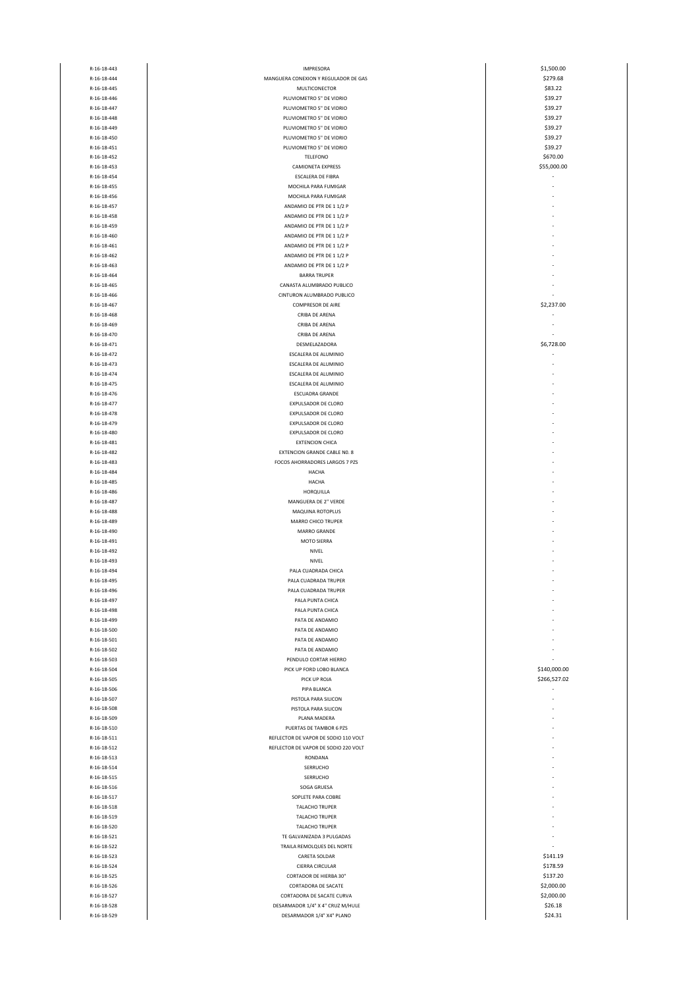| R-16-18-443 | <b>IMPRESORA</b>                     | \$1,500.00   |
|-------------|--------------------------------------|--------------|
| R-16-18-444 | MANGUERA CONEXION Y REGULADOR DE GAS | \$279.68     |
| R-16-18-445 | MULTICONECTOR                        | \$83.22      |
| R-16-18-446 | PLUVIOMETRO 5" DE VIDRIO             |              |
|             |                                      | \$39.27      |
| R-16-18-447 | PLUVIOMETRO 5" DE VIDRIO             | \$39.27      |
| R-16-18-448 | PLUVIOMETRO 5" DE VIDRIO             | \$39.27      |
| R-16-18-449 | PLUVIOMETRO 5" DE VIDRIO             | \$39.27      |
|             |                                      |              |
| R-16-18-450 | PLUVIOMETRO 5" DE VIDRIO             | \$39.27      |
| R-16-18-451 | PLUVIOMETRO 5" DE VIDRIO             | \$39.27      |
| R-16-18-452 | TELEFONO                             | \$670.00     |
|             |                                      |              |
| R-16-18-453 | CAMIONETA EXPRESS                    | \$55,000.00  |
| R-16-18-454 | ESCALERA DE FIBRA                    | ä,           |
| R-16-18-455 | MOCHILA PARA FUMIGAR                 |              |
| R-16-18-456 | MOCHILA PARA FUMIGAR                 |              |
|             |                                      |              |
| R-16-18-457 | ANDAMIO DE PTR DE 11/2 P             |              |
| R-16-18-458 | ANDAMIO DE PTR DE 11/2 P             |              |
| R-16-18-459 | ANDAMIO DE PTR DE 11/2 P             |              |
|             |                                      |              |
| R-16-18-460 | ANDAMIO DE PTR DE 11/2 P             |              |
| R-16-18-461 | ANDAMIO DE PTR DE 11/2 P             |              |
| R-16-18-462 | ANDAMIO DE PTR DE 11/2 P             |              |
|             |                                      |              |
| R-16-18-463 | ANDAMIO DE PTR DE 11/2 P             |              |
| R-16-18-464 | <b>BARRA TRUPER</b>                  |              |
| R-16-18-465 | CANASTA ALUMBRADO PUBLICO            |              |
| R-16-18-466 | CINTURON ALUMBRADO PUBLICO           |              |
|             |                                      |              |
| R-16-18-467 | <b>COMPRESOR DE AIRE</b>             | \$2,237.00   |
| R-16-18-468 | CRIBA DE ARENA                       |              |
| R-16-18-469 | CRIBA DE ARENA                       |              |
|             |                                      |              |
| R-16-18-470 | CRIBA DE ARENA                       |              |
| R-16-18-471 | DESMELAZADORA                        | \$6,728.00   |
| R-16-18-472 | ESCALERA DE ALUMINIO                 |              |
|             |                                      |              |
| R-16-18-473 | ESCALERA DE ALUMINIO                 |              |
| R-16-18-474 | ESCALERA DE ALUMINIO                 |              |
| R-16-18-475 | ESCALERA DE ALUMINIO                 |              |
| R-16-18-476 | ESCUADRA GRANDE                      |              |
|             |                                      |              |
| R-16-18-477 | <b>EXPULSADOR DE CLORO</b>           |              |
| R-16-18-478 | EXPULSADOR DE CLORO                  |              |
| R-16-18-479 | <b>EXPULSADOR DE CLORO</b>           |              |
|             |                                      |              |
| R-16-18-480 | EXPULSADOR DE CLORO                  |              |
| R-16-18-481 | <b>EXTENCION CHICA</b>               |              |
| R-16-18-482 | EXTENCION GRANDE CABLE NO. 8         |              |
|             |                                      |              |
| R-16-18-483 | FOCOS AHORRADORES LARGOS 7 PZS       |              |
| R-16-18-484 | HACHA                                |              |
| R-16-18-485 | HACHA                                |              |
| R-16-18-486 | HORQUILLA                            |              |
|             |                                      |              |
| R-16-18-487 | MANGUERA DE 2" VERDE                 |              |
| R-16-18-488 | MAQUINA ROTOPLUS                     |              |
| R-16-18-489 | MARRO CHICO TRUPER                   |              |
|             |                                      |              |
| R-16-18-490 | <b>MARRO GRANDE</b>                  |              |
| R-16-18-491 | MOTO SIERRA                          |              |
| R-16-18-492 | NIVEL                                |              |
| R-16-18-493 | NIVEL                                |              |
|             |                                      |              |
| R-16-18-494 | PALA CUADRADA CHICA                  |              |
| R-16-18-495 | PALA CUADRADA TRUPER                 |              |
| R-16-18-496 | PALA CUADRADA TRUPER                 |              |
|             |                                      |              |
| R-16-18-497 | PALA PUNTA CHICA                     |              |
| R-16-18-498 | PALA PUNTA CHICA                     |              |
| R-16-18-499 | PATA DE ANDAMIO                      |              |
|             |                                      |              |
| R-16-18-500 | PATA DE ANDAMIO                      |              |
| R-16-18-501 | PATA DE ANDAMIO                      |              |
| R-16-18-502 | PATA DE ANDAMIO                      |              |
| R-16-18-503 | PENDULO CORTAR HIERRO                |              |
|             |                                      |              |
| R-16-18-504 | PICK UP FORD LOBO BLANCA             | \$140,000.00 |
| R-16-18-505 | PICK UP ROJA                         | \$266,527.02 |
| R-16-18-506 | PIPA BLANCA                          | ÷,           |
| R-16-18-507 | PISTOLA PARA SILICON                 |              |
|             |                                      |              |
| R-16-18-508 | PISTOLA PARA SILICON                 |              |
| R-16-18-509 | PLANA MADERA                         |              |
| R-16-18-510 | PUERTAS DE TAMBOR 6 PZS              |              |
|             |                                      |              |
| R-16-18-511 | REFLECTOR DE VAPOR DE SODIO 110 VOLT |              |
| R-16-18-512 | REFLECTOR DE VAPOR DE SODIO 220 VOLT |              |
| R-16-18-513 | RONDANA                              |              |
|             |                                      |              |
| R-16-18-514 | SERRUCHO                             |              |
| R-16-18-515 | SERRUCHO                             |              |
| R-16-18-516 | SOGA GRUESA                          |              |
| R-16-18-517 | SOPLETE PARA COBRE                   |              |
|             |                                      |              |
| R-16-18-518 | <b>TALACHO TRUPER</b>                |              |
| R-16-18-519 | <b>TALACHO TRUPER</b>                |              |
| R-16-18-520 | <b>TALACHO TRUPER</b>                |              |
|             |                                      | J.           |
| R-16-18-521 | TE GALVANIZADA 3 PULGADAS            |              |
| R-16-18-522 | TRAILA REMOLQUES DEL NORTE           | ÷            |
| R-16-18-523 | CARETA SOLDAR                        | \$141.19     |
|             |                                      |              |
| R-16-18-524 | CIERRA CIRCULAR                      | \$178.59     |
| R-16-18-525 | <b>CORTADOR DE HIERBA 30"</b>        | \$137.20     |
| R-16-18-526 | CORTADORA DE SACATE                  | \$2,000.00   |
| R-16-18-527 | CORTADORA DE SACATE CURVA            | \$2,000.00   |
|             |                                      |              |
| R-16-18-528 | DESARMADOR 1/4" X 4" CRUZ M/HULE     | \$26.18      |
| R-16-18-529 | DESARMADOR 1/4" X4" PLANO            | \$24.31      |
|             |                                      |              |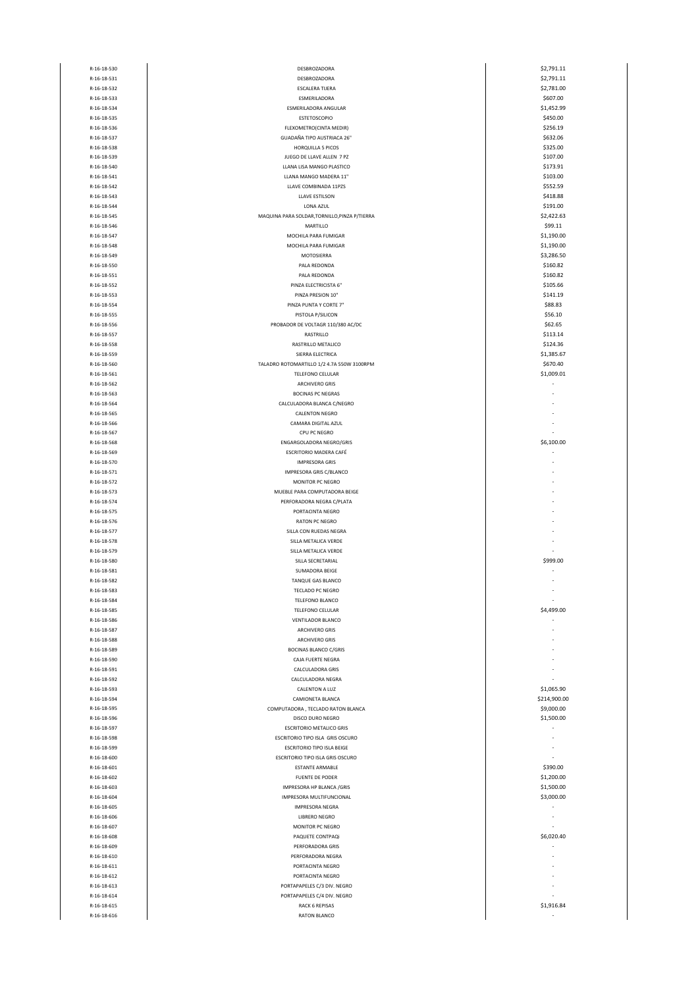| R-16-18-530                | DESBROZADORA                                  | \$2,791.11   |
|----------------------------|-----------------------------------------------|--------------|
| R-16-18-531                | DESBROZADORA                                  | \$2,791.11   |
|                            |                                               |              |
| R-16-18-532                | <b>ESCALERA TIJERA</b>                        | \$2,781.00   |
| R-16-18-533                | ESMERILADORA                                  | \$607.00     |
| R-16-18-534                | ESMERILADORA ANGULAR                          | \$1,452.99   |
| R-16-18-535                | ESTETOSCOPIO                                  | \$450.00     |
| R-16-18-536                | FLEXOMETRO(CINTA MEDIR)                       | \$256.19     |
| R-16-18-537                | GUADAÑA TIPO AUSTRIACA 26"                    | \$632.06     |
| R-16-18-538                | HORQUILLA 5 PICOS                             | \$325.00     |
|                            |                                               |              |
| R-16-18-539                | JUEGO DE LLAVE ALLEN 7 PZ                     | \$107.00     |
| R-16-18-540                | LLANA LISA MANGO PLASTICO                     | \$173.91     |
| R-16-18-541                | LLANA MANGO MADERA 11"                        | \$103.00     |
| R-16-18-542                | LLAVE COMBINADA 11PZS                         | \$552.59     |
| R-16-18-543                | LLAVE ESTILSON                                | \$418.88     |
| R-16-18-544                | LONA AZUL                                     | \$191.00     |
|                            |                                               |              |
| R-16-18-545                | MAQUINA PARA SOLDAR, TORNILLO, PINZA P/TIERRA | \$2,422.63   |
| R-16-18-546                | MARTILLO                                      | \$99.11      |
| R-16-18-547                | MOCHILA PARA FUMIGAR                          | \$1,190.00   |
| R-16-18-548                | MOCHILA PARA FUMIGAR                          | \$1,190.00   |
| R-16-18-549                | MOTOSIERRA                                    | \$3,286.50   |
|                            |                                               |              |
| R-16-18-550                | PALA REDONDA                                  | \$160.82     |
| R-16-18-551                | PALA REDONDA                                  | \$160.82     |
| R-16-18-552                | PINZA ELECTRICISTA 6"                         | \$105.66     |
| R-16-18-553                | PINZA PRESION 10"                             | \$141.19     |
| R-16-18-554                | PINZA PUNTA Y CORTE 7"                        | \$88.83      |
| R-16-18-555                | PISTOLA P/SILICON                             | \$56.10      |
|                            |                                               |              |
| R-16-18-556                | PROBADOR DE VOLTAGR 110/380 AC/DC             | \$62.65      |
| R-16-18-557                | RASTRILLO                                     | \$113.14     |
| R-16-18-558                | RASTRILLO METALICO                            | \$124.36     |
| R-16-18-559                | SIERRA ELECTRICA                              | \$1,385.67   |
| R-16-18-560                | TALADRO ROTOMARTILLO 1/2 4.7A 550W 3100RPM    | \$670.40     |
| R-16-18-561                | TELEFONO CELULAR                              | \$1,009.01   |
|                            |                                               |              |
| R-16-18-562                | ARCHIVERO GRIS                                |              |
| R-16-18-563                | <b>BOCINAS PC NEGRAS</b>                      |              |
| R-16-18-564                | CALCULADORA BLANCA C/NEGRO                    |              |
| R-16-18-565                | <b>CALENTON NEGRO</b>                         |              |
| R-16-18-566                | CAMARA DIGITAL AZUL                           |              |
|                            |                                               |              |
| R-16-18-567                | CPU PC NEGRO                                  |              |
| R-16-18-568                | ENGARGOLADORA NEGRO/GRIS                      | \$6,100.00   |
| R-16-18-569                | ESCRITORIO MADERA CAFÉ                        |              |
| R-16-18-570                | <b>IMPRESORA GRIS</b>                         |              |
| R-16-18-571                | IMPRESORA GRIS C/BLANCO                       |              |
| R-16-18-572                | MONITOR PC NEGRO                              |              |
|                            | MUEBLE PARA COMPUTADORA BEIGE                 |              |
| R-16-18-573                |                                               |              |
| R-16-18-574                | PERFORADORA NEGRA C/PLATA                     |              |
| R-16-18-575                | PORTACINTA NEGRO                              |              |
| R-16-18-576                | <b>RATON PC NEGRO</b>                         |              |
| R-16-18-577                | SILLA CON RUEDAS NEGRA                        |              |
| R-16-18-578                | SILLA METALICA VERDE                          |              |
|                            | SILLA METALICA VERDE                          |              |
| R-16-18-579                |                                               |              |
| R-16-18-580                | SILLA SECRETARIAL                             | \$999.00     |
| R-16-18-581                | SUMADORA BEIGE                                |              |
| R-16-18-582                | TANQUE GAS BLANCO                             |              |
| R-16-18-583                | <b>TECLADO PC NEGRO</b>                       |              |
| R-16-18-584                | TELEFONO BLANCO                               |              |
|                            |                                               |              |
| R-16-18-585                | TELEFONO CELULAR                              | \$4,499.00   |
| R-16-18-586                | <b>VENTILADOR BLANCO</b>                      |              |
| R-16-18-587                | <b>ARCHIVERO GRIS</b>                         |              |
| R-16-18-588                | <b>ARCHIVERO GRIS</b>                         |              |
| R-16-18-589                | <b>BOCINAS BLANCO C/GRIS</b>                  |              |
| R-16-18-590                | CAJA FUERTE NEGRA                             |              |
| R-16-18-591                | CALCULADORA GRIS                              |              |
|                            |                                               |              |
| R-16-18-592                | CALCULADORA NEGRA                             |              |
| R-16-18-593                | CALENTON A LUZ                                | \$1,065.90   |
| R-16-18-594                | CAMIONETA BLANCA                              | \$214,900.00 |
| R-16-18-595                | COMPUTADORA, TECLADO RATON BLANCA             | \$9,000.00   |
| R-16-18-596                | DISCO DURO NEGRO                              | \$1,500.00   |
| R-16-18-597                | <b>ESCRITORIO METALICO GRIS</b>               |              |
|                            |                                               |              |
| R-16-18-598                | ESCRITORIO TIPO ISLA GRIS OSCURO              |              |
| R-16-18-599                | <b>ESCRITORIO TIPO ISLA BEIGE</b>             |              |
| R-16-18-600                | ESCRITORIO TIPO ISLA GRIS OSCURO              |              |
| R-16-18-601                | ESTANTE ARMABLE                               | \$390.00     |
| R-16-18-602                | <b>FUENTE DE PODER</b>                        | \$1,200.00   |
| R-16-18-603                | IMPRESORA HP BLANCA /GRIS                     | \$1,500.00   |
|                            |                                               |              |
| R-16-18-604                | IMPRESORA MULTIFUNCIONAL                      | \$3,000.00   |
| R-16-18-605                | <b>IMPRESORA NEGRA</b>                        |              |
| R-16-18-606                | <b>LIBRERO NEGRO</b>                          |              |
| R-16-18-607                | MONITOR PC NEGRO                              |              |
| R-16-18-608                | PAQUETE CONTPAQi                              | \$6,020.40   |
| R-16-18-609                | PERFORADORA GRIS                              |              |
|                            |                                               |              |
| R-16-18-610                | PERFORADORA NEGRA                             |              |
| R-16-18-611                | PORTACINTA NEGRO                              |              |
| R-16-18-612                | PORTACINTA NEGRO                              |              |
| R-16-18-613                |                                               |              |
|                            | PORTAPAPELES C/3 DIV. NEGRO                   |              |
|                            |                                               |              |
| R-16-18-614                | PORTAPAPELES C/4 DIV. NEGRO                   |              |
| R-16-18-615<br>R-16-18-616 | <b>RACK 6 REPISAS</b><br>RATON BLANCO         | \$1,916.84   |